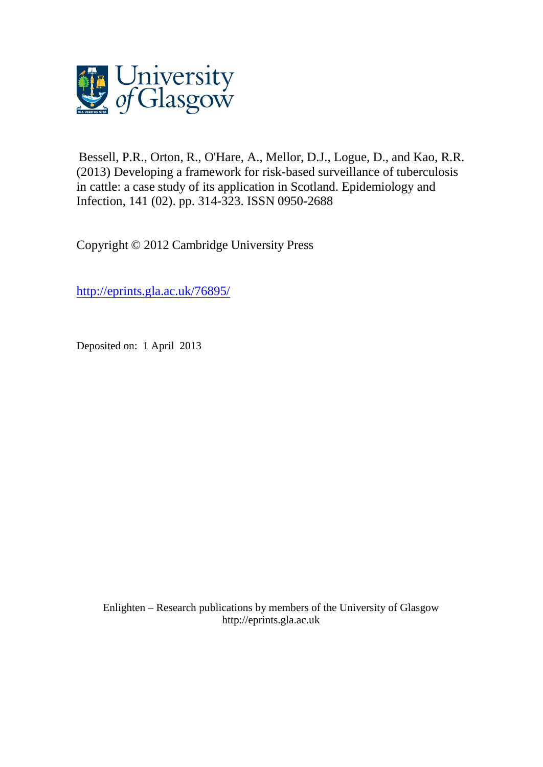

Bessell, P.R., Orton, R., O'Hare, A., Mellor, D.J., Logue, D., and Kao, R.R. (2013) Developing a framework for risk-based surveillance of tuberculosis in cattle: a case study of its application in Scotland. Epidemiology and Infection, 141 (02). pp. 314-323. ISSN 0950-2688

Copyright © 2012 Cambridge University Press

<http://eprints.gla.ac.uk/76895/>

Deposited on: 1 April 2013

Enlighten – Research publications by members of the University of Glasgo[w](http://eprints.gla.ac.uk/) [http://eprints.gla.ac.uk](http://eprints.gla.ac.uk/)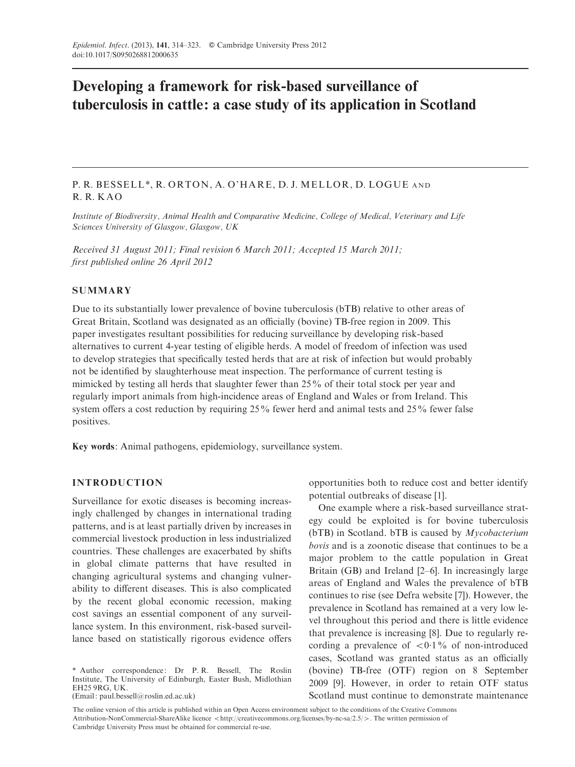# Developing a framework for risk-based surveillance of tuberculosis in cattle: a case study of its application in Scotland

# P. R. BESSELL \*, R. ORTON, A. O'HARE, D. J. MELLOR, D. LOGUE AND R. R. KAO

Institute of Biodiversity, Animal Health and Comparative Medicine, College of Medical, Veterinary and Life Sciences University of Glasgow, Glasgow, UK

Received 31 August 2011; Final revision 6 March 2011; Accepted 15 March 2011; first published online 26 April 2012

## **SUMMARY**

Due to its substantially lower prevalence of bovine tuberculosis (bTB) relative to other areas of Great Britain, Scotland was designated as an officially (bovine) TB-free region in 2009. This paper investigates resultant possibilities for reducing surveillance by developing risk-based alternatives to current 4-year testing of eligible herds. A model of freedom of infection was used to develop strategies that specifically tested herds that are at risk of infection but would probably not be identified by slaughterhouse meat inspection. The performance of current testing is mimicked by testing all herds that slaughter fewer than 25% of their total stock per year and regularly import animals from high-incidence areas of England and Wales or from Ireland. This system offers a cost reduction by requiring 25% fewer herd and animal tests and 25% fewer false positives.

Key words: Animal pathogens, epidemiology, surveillance system.

# INTRODUCTION

Surveillance for exotic diseases is becoming increasingly challenged by changes in international trading patterns, and is at least partially driven by increases in commercial livestock production in less industrialized countries. These challenges are exacerbated by shifts in global climate patterns that have resulted in changing agricultural systems and changing vulnerability to different diseases. This is also complicated by the recent global economic recession, making cost savings an essential component of any surveillance system. In this environment, risk-based surveillance based on statistically rigorous evidence offers

\* Author correspondence: Dr P. R. Bessell, The Roslin Institute, The University of Edinburgh, Easter Bush, Midlothian EH25 9RG, UK.

(Email: paul.bessell@roslin.ed.ac.uk)

opportunities both to reduce cost and better identify potential outbreaks of disease [1].

One example where a risk-based surveillance strategy could be exploited is for bovine tuberculosis ( $bTB$ ) in Scotland.  $bTB$  is caused by *Mycobacterium* bovis and is a zoonotic disease that continues to be a major problem to the cattle population in Great Britain (GB) and Ireland [2–6]. In increasingly large areas of England and Wales the prevalence of bTB continues to rise (see Defra website [7]). However, the prevalence in Scotland has remained at a very low level throughout this period and there is little evidence that prevalence is increasing [8]. Due to regularly recording a prevalence of  $\langle 0.1\%$  of non-introduced cases, Scotland was granted status as an officially (bovine) TB-free (OTF) region on 8 September 2009 [9]. However, in order to retain OTF status Scotland must continue to demonstrate maintenance

The online version of this article is published within an Open Access environment subject to the conditions of the Creative Commons Attribution-NonCommercial-ShareAlike licence <http://creativecommons.org/licenses/by-nc-sa/2.5/>. The written permission of Cambridge University Press must be obtained for commercial re-use.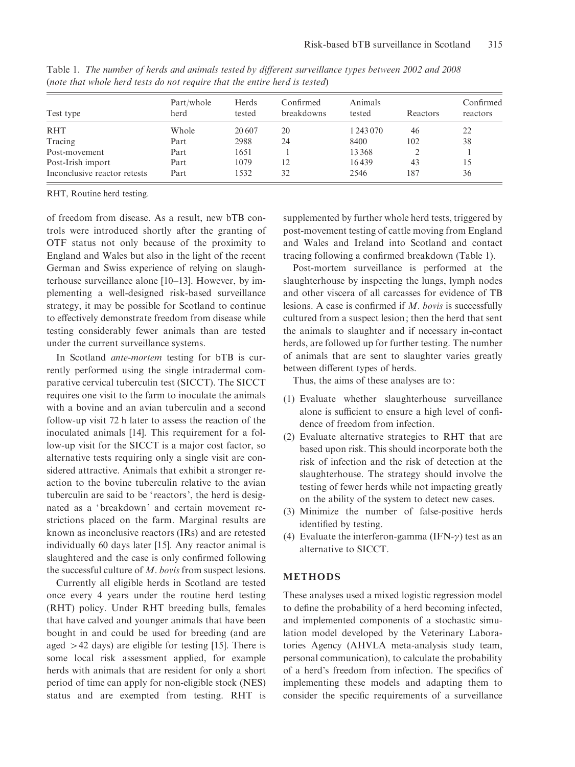| Test type                    | Part/whole<br>herd | Herds<br>tested | Confirmed<br>breakdowns | Animals<br>tested | Reactors | Confirmed<br>reactors |
|------------------------------|--------------------|-----------------|-------------------------|-------------------|----------|-----------------------|
| <b>RHT</b>                   | Whole              | 20 607          | 20                      | 1 243 070         | 46       | 22                    |
| Tracing                      | Part               | 2988            | 24                      | 8400              | 102      | 38                    |
| Post-movement                | Part               | 1651            |                         | 13 3 68           |          |                       |
| Post-Irish import            | Part               | 1079            | 12                      | 16439             | 43       | 15                    |
| Inconclusive reactor retests | Part               | 1532            | 32                      | 2546              | 187      | 36                    |

Table 1. The number of herds and animals tested by different surveillance types between 2002 and 2008 (note that whole herd tests do not require that the entire herd is tested)

RHT, Routine herd testing.

of freedom from disease. As a result, new bTB controls were introduced shortly after the granting of OTF status not only because of the proximity to England and Wales but also in the light of the recent German and Swiss experience of relying on slaughterhouse surveillance alone [10–13]. However, by implementing a well-designed risk-based surveillance strategy, it may be possible for Scotland to continue to effectively demonstrate freedom from disease while testing considerably fewer animals than are tested under the current surveillance systems.

In Scotland ante-mortem testing for bTB is currently performed using the single intradermal comparative cervical tuberculin test (SICCT). The SICCT requires one visit to the farm to inoculate the animals with a bovine and an avian tuberculin and a second follow-up visit 72 h later to assess the reaction of the inoculated animals [14]. This requirement for a follow-up visit for the SICCT is a major cost factor, so alternative tests requiring only a single visit are considered attractive. Animals that exhibit a stronger reaction to the bovine tuberculin relative to the avian tuberculin are said to be ' reactors', the herd is designated as a 'breakdown' and certain movement restrictions placed on the farm. Marginal results are known as inconclusive reactors (IRs) and are retested individually 60 days later [15]. Any reactor animal is slaughtered and the case is only confirmed following the successful culture of M. bovis from suspect lesions.

Currently all eligible herds in Scotland are tested once every 4 years under the routine herd testing (RHT) policy. Under RHT breeding bulls, females that have calved and younger animals that have been bought in and could be used for breeding (and are aged  $>42$  days) are eligible for testing [15]. There is some local risk assessment applied, for example herds with animals that are resident for only a short period of time can apply for non-eligible stock (NES) status and are exempted from testing. RHT is

supplemented by further whole herd tests, triggered by post-movement testing of cattle moving from England and Wales and Ireland into Scotland and contact tracing following a confirmed breakdown (Table 1).

Post-mortem surveillance is performed at the slaughterhouse by inspecting the lungs, lymph nodes and other viscera of all carcasses for evidence of TB lesions. A case is confirmed if M. bovis is successfully cultured from a suspect lesion; then the herd that sent the animals to slaughter and if necessary in-contact herds, are followed up for further testing. The number of animals that are sent to slaughter varies greatly between different types of herds.

Thus, the aims of these analyses are to:

- (1) Evaluate whether slaughterhouse surveillance alone is sufficient to ensure a high level of confidence of freedom from infection.
- (2) Evaluate alternative strategies to RHT that are based upon risk. This should incorporate both the risk of infection and the risk of detection at the slaughterhouse. The strategy should involve the testing of fewer herds while not impacting greatly on the ability of the system to detect new cases.
- (3) Minimize the number of false-positive herds identified by testing.
- (4) Evaluate the interferon-gamma (IFN- $\gamma$ ) test as an alternative to SICCT.

## METHODS

These analyses used a mixed logistic regression model to define the probability of a herd becoming infected, and implemented components of a stochastic simulation model developed by the Veterinary Laboratories Agency (AHVLA meta-analysis study team, personal communication), to calculate the probability of a herd's freedom from infection. The specifics of implementing these models and adapting them to consider the specific requirements of a surveillance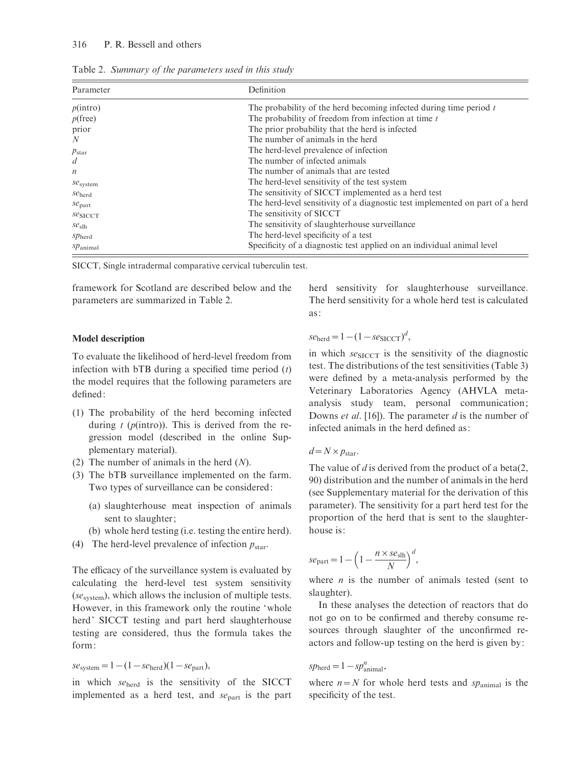## 316 P. R. Bessell and others

| Parameter            | Definition                                                                    |  |  |  |
|----------------------|-------------------------------------------------------------------------------|--|--|--|
| p(intro)             | The probability of the herd becoming infected during time period $t$          |  |  |  |
| $p$ (free)           | The probability of freedom from infection at time t                           |  |  |  |
| prior                | The prior probability that the herd is infected                               |  |  |  |
| N                    | The number of animals in the herd                                             |  |  |  |
| $p_{\rm star}$       | The herd-level prevalence of infection                                        |  |  |  |
| $\overline{d}$       | The number of infected animals                                                |  |  |  |
| $\boldsymbol{n}$     | The number of animals that are tested                                         |  |  |  |
| $se_{\text{system}}$ | The herd-level sensitivity of the test system                                 |  |  |  |
| $se_{\text{herd}}$   | The sensitivity of SICCT implemented as a herd test                           |  |  |  |
| $se_{part}$          | The herd-level sensitivity of a diagnostic test implemented on part of a herd |  |  |  |
| $se_{SICCT}$         | The sensitivity of SICCT                                                      |  |  |  |
| $se_{\rm slh}$       | The sensitivity of slaughterhouse surveillance                                |  |  |  |
| $sp_{\text{herd}}$   | The herd-level specificity of a test                                          |  |  |  |
| $sp_{\text{animal}}$ | Specificity of a diagnostic test applied on an individual animal level        |  |  |  |

Table 2. Summary of the parameters used in this study

SICCT, Single intradermal comparative cervical tuberculin test.

framework for Scotland are described below and the parameters are summarized in Table 2.

#### Model description

To evaluate the likelihood of herd-level freedom from infection with  $bTB$  during a specified time period  $(t)$ the model requires that the following parameters are defined:

- (1) The probability of the herd becoming infected during  $t$  ( $p$ (intro)). This is derived from the regression model (described in the online Supplementary material).
- (2) The number of animals in the herd  $(N)$ .
- (3) The bTB surveillance implemented on the farm. Two types of surveillance can be considered:
	- (a) slaughterhouse meat inspection of animals sent to slaughter;
	- (b) whole herd testing (i.e. testing the entire herd).
- (4) The herd-level prevalence of infection  $p_{\text{star}}$ .

The efficacy of the surveillance system is evaluated by calculating the herd-level test system sensitivity  $(se<sub>system</sub>)$ , which allows the inclusion of multiple tests. However, in this framework only the routine 'whole herd' SICCT testing and part herd slaughterhouse testing are considered, thus the formula takes the form:

 $se_{\text{system}} = 1 - (1 - se_{\text{herd}})(1 - se_{\text{part}}),$ 

in which  $se<sub>herd</sub>$  is the sensitivity of the SICCT implemented as a herd test, and  $se<sub>part</sub>$  is the part herd sensitivity for slaughterhouse surveillance. The herd sensitivity for a whole herd test is calculated as:

 $se_{\text{herd}} = 1 - (1 - se_{\text{SICCT}})^d$ ,

in which  $se_{SICCT}$  is the sensitivity of the diagnostic test. The distributions of the test sensitivities (Table 3) were defined by a meta-analysis performed by the Veterinary Laboratories Agency (AHVLA metaanalysis study team, personal communication; Downs *et al.* [16]). The parameter *d* is the number of infected animals in the herd defined as:

 $d=N\times p_{\text{star}}$ .

The value of  $d$  is derived from the product of a beta(2, 90) distribution and the number of animals in the herd (see Supplementary material for the derivation of this parameter). The sensitivity for a part herd test for the proportion of the herd that is sent to the slaughterhouse is:

$$
se_{\text{part}} = 1 - \left(1 - \frac{n \times se_{\text{slh}}}{N}\right)^d,
$$

where  $n$  is the number of animals tested (sent to slaughter).

In these analyses the detection of reactors that do not go on to be confirmed and thereby consume resources through slaughter of the unconfirmed reactors and follow-up testing on the herd is given by:

$$
\mathit{sp}_{\text{herd}} = 1 - \mathit{sp}^n_{\text{animal}},
$$

where  $n=N$  for whole herd tests and sp<sub>animal</sub> is the specificity of the test.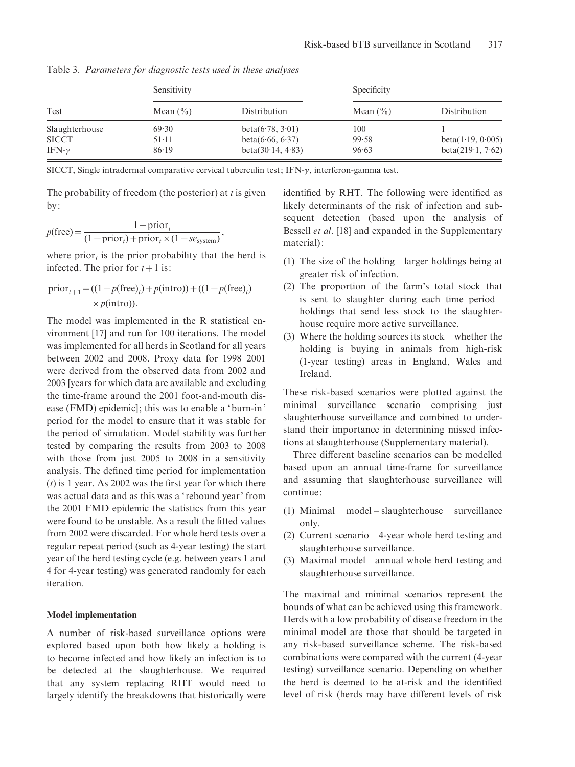| Test           | Sensitivity  |                      | Specificity  |                      |  |
|----------------|--------------|----------------------|--------------|----------------------|--|
|                | Mean $(\% )$ | Distribution         | Mean $(\% )$ | Distribution         |  |
| Slaughterhouse | 69.30        | beta(6.78, 3.01)     | 100          |                      |  |
| <b>SICCT</b>   | $51-11$      | beta(6.66, 6.37)     | 99.58        | beta(1.19, 0.005)    |  |
| IFN- $\gamma$  | 86.19        | beta $(30.14, 4.83)$ | 96.63        | beta $(219.1, 7.62)$ |  |

Table 3. Parameters for diagnostic tests used in these analyses

SICCT, Single intradermal comparative cervical tuberculin test;  $IFN-\gamma$ , interferon-gamma test.

The probability of freedom (the posterior) at  $t$  is given by:

$$
p(\text{free}) = \frac{1 - \text{prior}_t}{(1 - \text{prior}_t) + \text{prior}_t \times (1 - \text{se}_{\text{system}})},
$$

where prior<sub>t</sub> is the prior probability that the herd is infected. The prior for  $t+1$  is:

$$
\text{prior}_{t+1} = ((1 - p(\text{free})_t) + p(\text{intro})) + ((1 - p(\text{free})_t) \times p(\text{intro})).
$$

The model was implemented in the R statistical environment [17] and run for 100 iterations. The model was implemented for all herds in Scotland for all years between 2002 and 2008. Proxy data for 1998–2001 were derived from the observed data from 2002 and 2003 [years for which data are available and excluding the time-frame around the 2001 foot-and-mouth disease (FMD) epidemic]; this was to enable a 'burn-in' period for the model to ensure that it was stable for the period of simulation. Model stability was further tested by comparing the results from 2003 to 2008 with those from just 2005 to 2008 in a sensitivity analysis. The defined time period for implementation  $(t)$  is 1 year. As 2002 was the first year for which there was actual data and as this was a ' rebound year' from the 2001 FMD epidemic the statistics from this year were found to be unstable. As a result the fitted values from 2002 were discarded. For whole herd tests over a regular repeat period (such as 4-year testing) the start year of the herd testing cycle (e.g. between years 1 and 4 for 4-year testing) was generated randomly for each iteration.

#### Model implementation

A number of risk-based surveillance options were explored based upon both how likely a holding is to become infected and how likely an infection is to be detected at the slaughterhouse. We required that any system replacing RHT would need to largely identify the breakdowns that historically were identified by RHT. The following were identified as likely determinants of the risk of infection and subsequent detection (based upon the analysis of Bessell *et al.* [18] and expanded in the Supplementary material):

- (1) The size of the holding larger holdings being at greater risk of infection.
- (2) The proportion of the farm's total stock that is sent to slaughter during each time period – holdings that send less stock to the slaughterhouse require more active surveillance.
- (3) Where the holding sources its stock whether the holding is buying in animals from high-risk (1-year testing) areas in England, Wales and Ireland.

These risk-based scenarios were plotted against the minimal surveillance scenario comprising just slaughterhouse surveillance and combined to understand their importance in determining missed infections at slaughterhouse (Supplementary material).

Three different baseline scenarios can be modelled based upon an annual time-frame for surveillance and assuming that slaughterhouse surveillance will continue:

- (1) Minimal model slaughterhouse surveillance only.
- (2) Current scenario 4-year whole herd testing and slaughterhouse surveillance.
- (3) Maximal model annual whole herd testing and slaughterhouse surveillance.

The maximal and minimal scenarios represent the bounds of what can be achieved using this framework. Herds with a low probability of disease freedom in the minimal model are those that should be targeted in any risk-based surveillance scheme. The risk-based combinations were compared with the current (4-year testing) surveillance scenario. Depending on whether the herd is deemed to be at-risk and the identified level of risk (herds may have different levels of risk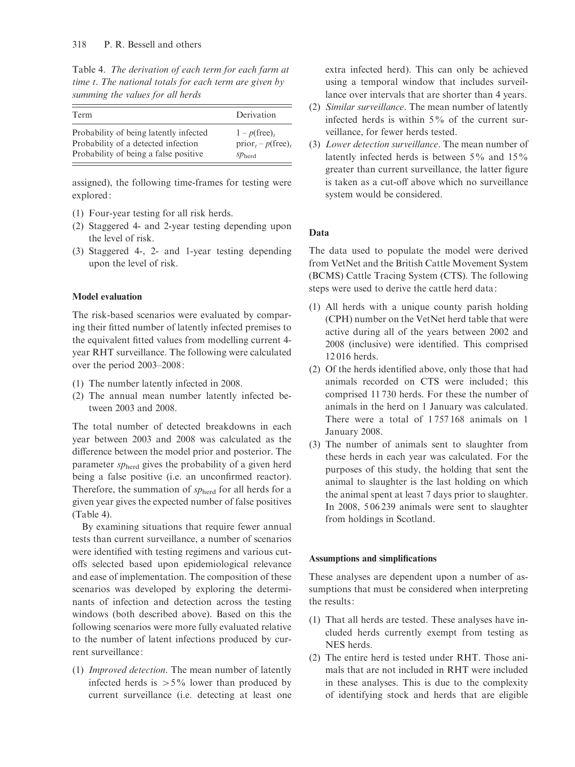Table 4. The derivation of each term for each farm at time t. The national totals for each term are given by summing the values for all herds

| Term                                   | Derivation                        |
|----------------------------------------|-----------------------------------|
| Probability of being latently infected | $1-p$ (free) <sub>t</sub>         |
| Probability of a detected infection    | $prior_t - p$ (free) <sub>t</sub> |
| Probability of being a false positive  | $SD$ <sub>herd</sub>              |

assigned), the following time-frames for testing were explored:

- (1) Four-year testing for all risk herds.
- (2) Staggered 4- and 2-year testing depending upon the level of risk.
- (3) Staggered 4-, 2- and 1-year testing depending upon the level of risk.

## Model evaluation

The risk-based scenarios were evaluated by comparing their fitted number of latently infected premises to the equivalent fitted values from modelling current 4 year RHT surveillance. The following were calculated over the period 2003–2008:

- (1) The number latently infected in 2008.
- (2) The annual mean number latently infected between 2003 and 2008.

The total number of detected breakdowns in each year between 2003 and 2008 was calculated as the difference between the model prior and posterior. The parameter  $sp_{\text{herd}}$  gives the probability of a given herd being a false positive (i.e. an unconfirmed reactor). Therefore, the summation of  $sp_{\text{herd}}$  for all herds for a given year gives the expected number of false positives (Table 4).

By examining situations that require fewer annual tests than current surveillance, a number of scenarios were identified with testing regimens and various cutoffs selected based upon epidemiological relevance and ease of implementation. The composition of these scenarios was developed by exploring the determinants of infection and detection across the testing windows (both described above). Based on this the following scenarios were more fully evaluated relative to the number of latent infections produced by current surveillance:

(1) Improved detection. The mean number of latently infected herds is  $>5\%$  lower than produced by current surveillance (i.e. detecting at least one extra infected herd). This can only be achieved using a temporal window that includes surveillance over intervals that are shorter than 4 years.

- (2) Similar surveillance. The mean number of latently infected herds is within 5% of the current surveillance, for fewer herds tested.
- (3) Lower detection surveillance. The mean number of latently infected herds is between  $5\%$  and  $15\%$ greater than current surveillance, the latter figure is taken as a cut-off above which no surveillance system would be considered.

# Data

The data used to populate the model were derived from VetNet and the British Cattle Movement System (BCMS) Cattle Tracing System (CTS). The following steps were used to derive the cattle herd data:

- (1) All herds with a unique county parish holding (CPH) number on the VetNet herd table that were active during all of the years between 2002 and 2008 (inclusive) were identified. This comprised 12 016 herds.
- (2) Of the herds identified above, only those that had animals recorded on CTS were included; this comprised 11 730 herds. For these the number of animals in the herd on 1 January was calculated. There were a total of 1757168 animals on 1 January 2008.
- (3) The number of animals sent to slaughter from these herds in each year was calculated. For the purposes of this study, the holding that sent the animal to slaughter is the last holding on which the animal spent at least 7 days prior to slaughter. In 2008, 5 06 239 animals were sent to slaughter from holdings in Scotland.

## Assumptions and simplifications

These analyses are dependent upon a number of assumptions that must be considered when interpreting the results:

- (1) That all herds are tested. These analyses have included herds currently exempt from testing as NES herds.
- (2) The entire herd is tested under RHT. Those animals that are not included in RHT were included in these analyses. This is due to the complexity of identifying stock and herds that are eligible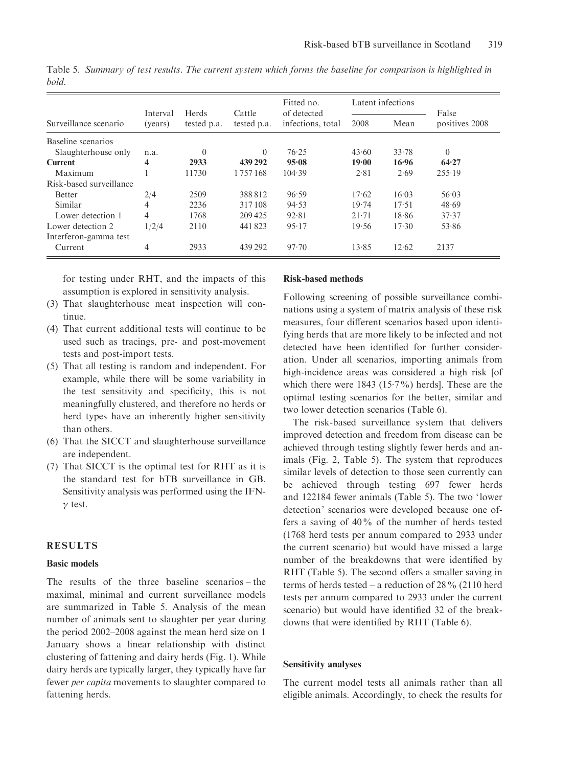|                         | Interval<br>(years) | Herds<br>tested p.a. | Cattle<br>tested p.a. | Fitted no.<br>of detected<br>infections, total | Latent infections |       |                         |
|-------------------------|---------------------|----------------------|-----------------------|------------------------------------------------|-------------------|-------|-------------------------|
| Surveillance scenario   |                     |                      |                       |                                                | 2008              | Mean  | False<br>positives 2008 |
| Baseline scenarios      |                     |                      |                       |                                                |                   |       |                         |
| Slaughterhouse only     | n.a.                | $\theta$             | $\Omega$              | 76.25                                          | 43.60             | 33.78 | $\theta$                |
| <b>Current</b>          | 4                   | 2933                 | 439 292               | 95.08                                          | 19.00             | 16.96 | 64.27                   |
| Maximum                 |                     | 11730                | 1757168               | 104.39                                         | 2.81              | 2.69  | 255.19                  |
| Risk-based surveillance |                     |                      |                       |                                                |                   |       |                         |
| <b>Better</b>           | 2/4                 | 2509                 | 388812                | 96.59                                          | 17.62             | 16.03 | 56.03                   |
| Similar                 | 4                   | 2236                 | 317108                | 94.53                                          | 19.74             | 17.51 | 48.69                   |
| Lower detection 1       | 4                   | 1768                 | 209 425               | 92.81                                          | $21 - 71$         | 18.86 | 37.37                   |
| Lower detection 2       | 1/2/4               | 2110                 | 441823                | 95.17                                          | 19.56             | 17.30 | 53.86                   |
| Interferon-gamma test   |                     |                      |                       |                                                |                   |       |                         |
| Current                 | 4                   | 2933                 | 439 292               | 97.70                                          | 13.85             | 12.62 | 2137                    |
|                         |                     |                      |                       |                                                |                   |       |                         |

Table 5. Summary of test results. The current system which forms the baseline for comparison is highlighted in bold.

for testing under RHT, and the impacts of this assumption is explored in sensitivity analysis.

- (3) That slaughterhouse meat inspection will continue.
- (4) That current additional tests will continue to be used such as tracings, pre- and post-movement tests and post-import tests.
- (5) That all testing is random and independent. For example, while there will be some variability in the test sensitivity and specificity, this is not meaningfully clustered, and therefore no herds or herd types have an inherently higher sensitivity than others.
- (6) That the SICCT and slaughterhouse surveillance are independent.
- (7) That SICCT is the optimal test for RHT as it is the standard test for bTB surveillance in GB. Sensitivity analysis was performed using the IFN- $\gamma$  test.

# RESULTS

#### Basic models

The results of the three baseline scenarios – the maximal, minimal and current surveillance models are summarized in Table 5. Analysis of the mean number of animals sent to slaughter per year during the period 2002–2008 against the mean herd size on 1 January shows a linear relationship with distinct clustering of fattening and dairy herds (Fig. 1). While dairy herds are typically larger, they typically have far fewer per capita movements to slaughter compared to fattening herds.

#### Risk-based methods

Following screening of possible surveillance combinations using a system of matrix analysis of these risk measures, four different scenarios based upon identifying herds that are more likely to be infected and not detected have been identified for further consideration. Under all scenarios, importing animals from high-incidence areas was considered a high risk [of which there were 1843 (15.7%) herds]. These are the optimal testing scenarios for the better, similar and two lower detection scenarios (Table 6).

The risk-based surveillance system that delivers improved detection and freedom from disease can be achieved through testing slightly fewer herds and animals (Fig. 2, Table 5). The system that reproduces similar levels of detection to those seen currently can be achieved through testing 697 fewer herds and 122184 fewer animals (Table 5). The two 'lower detection' scenarios were developed because one offers a saving of 40% of the number of herds tested (1768 herd tests per annum compared to 2933 under the current scenario) but would have missed a large number of the breakdowns that were identified by RHT (Table 5). The second offers a smaller saving in terms of herds tested – a reduction of  $28\%$  (2110 herd tests per annum compared to 2933 under the current scenario) but would have identified 32 of the breakdowns that were identified by RHT (Table 6).

#### Sensitivity analyses

The current model tests all animals rather than all eligible animals. Accordingly, to check the results for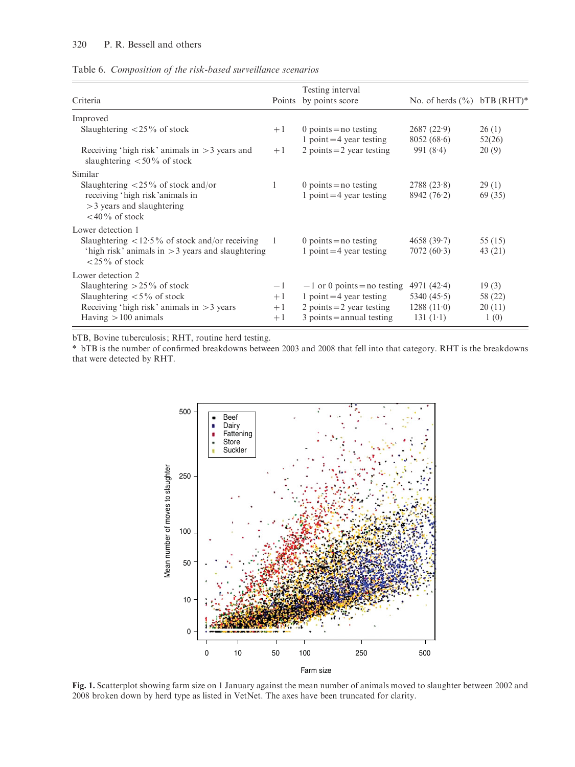Table 6. Composition of the risk-based surveillance scenarios

| Criteria                                                                            |      | Testing interval<br>Points by points score          | No. of herds $(\% )$ bTB (RHT)* |                 |
|-------------------------------------------------------------------------------------|------|-----------------------------------------------------|---------------------------------|-----------------|
| Improved                                                                            |      |                                                     |                                 |                 |
| Slaughtering $\langle 25\%$ of stock                                                | $+1$ | 0 points = no testing<br>1 point $=$ 4 year testing | 2687(22.9)<br>8052(68.6)        | 26(1)<br>52(26) |
| Receiving 'high risk' animals in $>$ 3 years and<br>slaughtering $< 50\%$ of stock  | $+1$ | 2 points $=$ 2 year testing                         | 991 $(8.4)$                     | 20(9)           |
| Similar                                                                             |      |                                                     |                                 |                 |
| Slaughtering $\langle 25\%$ of stock and/or                                         |      | 0 points = no testing                               | 2788(23.8)                      | 29(1)           |
| receiving 'high risk'animals in<br>$>$ 3 years and slaughtering<br>$<$ 40% of stock |      | 1 point $=$ 4 year testing                          | 8942(76.2)                      | 69 (35)         |
| Lower detection 1                                                                   |      |                                                     |                                 |                 |
| Slaughtering $\langle 12.5\% \rangle$ of stock and/or receiving                     |      | 0 points = no testing                               | 4658(39.7)                      | 55 (15)         |
| 'high risk' animals in $>$ 3 years and slaughtering<br>$\langle 25\%$ of stock      |      | 1 point $=$ 4 year testing                          | 7072(60.3)                      | 43 (21)         |
| Lower detection 2                                                                   |      |                                                     |                                 |                 |
| Slaughtering $>$ 25% of stock                                                       | $-1$ | $-1$ or 0 points = no testing                       | 4971 $(42.4)$                   | 19(3)           |
| Slaughtering $\lt 5\%$ of stock                                                     | $+1$ | 1 point $=$ 4 year testing                          | 5340 $(45.5)$                   | 58 (22)         |
| Receiving 'high risk' animals in $>$ 3 years                                        | $+1$ | 2 points $=$ 2 year testing                         | 1288(110)                       | 20(11)          |
| Having $>100$ animals                                                               | $+1$ | $3$ points = annual testing                         | 131 $(1-1)$                     | 1(0)            |

bTB, Bovine tuberculosis; RHT, routine herd testing.

\* bTB is the number of confirmed breakdowns between 2003 and 2008 that fell into that category. RHT is the breakdowns that were detected by RHT.



Fig. 1. Scatterplot showing farm size on 1 January against the mean number of animals moved to slaughter between 2002 and 2008 broken down by herd type as listed in VetNet. The axes have been truncated for clarity.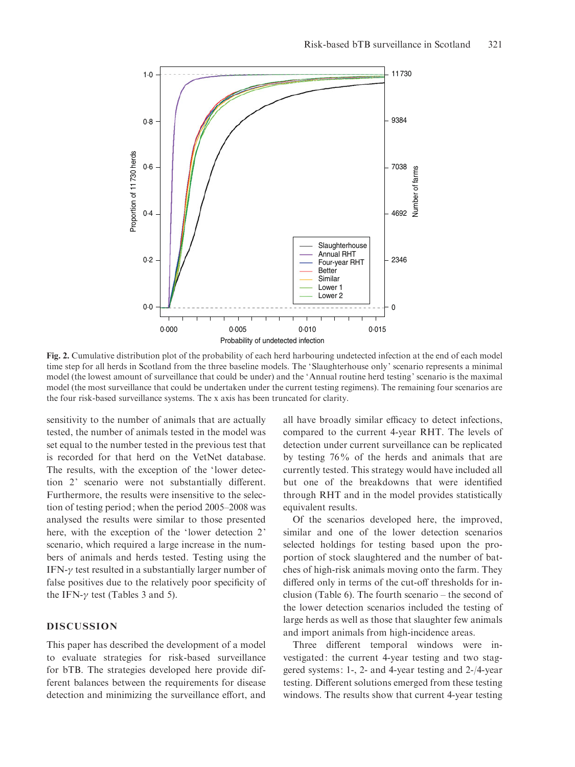

Fig. 2. Cumulative distribution plot of the probability of each herd harbouring undetected infection at the end of each model time step for all herds in Scotland from the three baseline models. The 'Slaughterhouse only' scenario represents a minimal model (the lowest amount of surveillance that could be under) and the 'Annual routine herd testing' scenario is the maximal model (the most surveillance that could be undertaken under the current testing regimens). The remaining four scenarios are the four risk-based surveillance systems. The x axis has been truncated for clarity.

sensitivity to the number of animals that are actually tested, the number of animals tested in the model was set equal to the number tested in the previous test that is recorded for that herd on the VetNet database. The results, with the exception of the 'lower detection 2' scenario were not substantially different. Furthermore, the results were insensitive to the selection of testing period; when the period 2005–2008 was analysed the results were similar to those presented here, with the exception of the 'lower detection 2' scenario, which required a large increase in the numbers of animals and herds tested. Testing using the IFN- $\gamma$  test resulted in a substantially larger number of false positives due to the relatively poor specificity of the IFN- $\gamma$  test (Tables 3 and 5).

# DISCUSSION

This paper has described the development of a model to evaluate strategies for risk-based surveillance for bTB. The strategies developed here provide different balances between the requirements for disease detection and minimizing the surveillance effort, and

all have broadly similar efficacy to detect infections, compared to the current 4-year RHT. The levels of detection under current surveillance can be replicated by testing 76% of the herds and animals that are currently tested. This strategy would have included all but one of the breakdowns that were identified through RHT and in the model provides statistically equivalent results.

Of the scenarios developed here, the improved, similar and one of the lower detection scenarios selected holdings for testing based upon the proportion of stock slaughtered and the number of batches of high-risk animals moving onto the farm. They differed only in terms of the cut-off thresholds for inclusion (Table 6). The fourth scenario – the second of the lower detection scenarios included the testing of large herds as well as those that slaughter few animals and import animals from high-incidence areas.

Three different temporal windows were investigated: the current 4-year testing and two staggered systems: 1-, 2- and 4-year testing and 2-/4-year testing. Different solutions emerged from these testing windows. The results show that current 4-year testing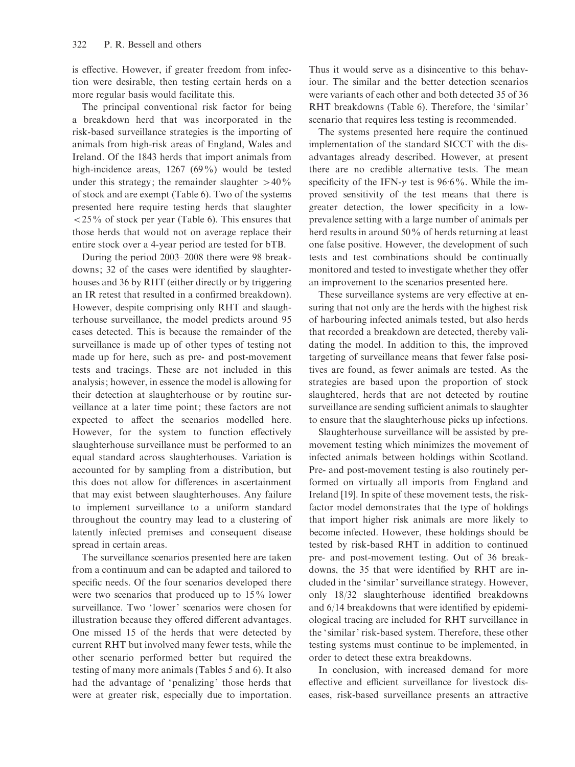is effective. However, if greater freedom from infection were desirable, then testing certain herds on a more regular basis would facilitate this.

The principal conventional risk factor for being a breakdown herd that was incorporated in the risk-based surveillance strategies is the importing of animals from high-risk areas of England, Wales and Ireland. Of the 1843 herds that import animals from high-incidence areas, 1267 (69%) would be tested under this strategy; the remainder slaughter  $>40\%$ of stock and are exempt (Table 6). Two of the systems presented here require testing herds that slaughter  $\langle 25\%$  of stock per year (Table 6). This ensures that those herds that would not on average replace their entire stock over a 4-year period are tested for bTB.

During the period 2003–2008 there were 98 breakdowns; 32 of the cases were identified by slaughterhouses and 36 by RHT (either directly or by triggering an IR retest that resulted in a confirmed breakdown). However, despite comprising only RHT and slaughterhouse surveillance, the model predicts around 95 cases detected. This is because the remainder of the surveillance is made up of other types of testing not made up for here, such as pre- and post-movement tests and tracings. These are not included in this analysis; however, in essence the model is allowing for their detection at slaughterhouse or by routine surveillance at a later time point; these factors are not expected to affect the scenarios modelled here. However, for the system to function effectively slaughterhouse surveillance must be performed to an equal standard across slaughterhouses. Variation is accounted for by sampling from a distribution, but this does not allow for differences in ascertainment that may exist between slaughterhouses. Any failure to implement surveillance to a uniform standard throughout the country may lead to a clustering of latently infected premises and consequent disease spread in certain areas.

The surveillance scenarios presented here are taken from a continuum and can be adapted and tailored to specific needs. Of the four scenarios developed there were two scenarios that produced up to 15% lower surveillance. Two 'lower' scenarios were chosen for illustration because they offered different advantages. One missed 15 of the herds that were detected by current RHT but involved many fewer tests, while the other scenario performed better but required the testing of many more animals (Tables 5 and 6). It also had the advantage of 'penalizing' those herds that were at greater risk, especially due to importation.

Thus it would serve as a disincentive to this behaviour. The similar and the better detection scenarios were variants of each other and both detected 35 of 36 RHT breakdowns (Table 6). Therefore, the 'similar' scenario that requires less testing is recommended.

The systems presented here require the continued implementation of the standard SICCT with the disadvantages already described. However, at present there are no credible alternative tests. The mean specificity of the IFN- $\gamma$  test is 96.6%. While the improved sensitivity of the test means that there is greater detection, the lower specificity in a lowprevalence setting with a large number of animals per herd results in around 50% of herds returning at least one false positive. However, the development of such tests and test combinations should be continually monitored and tested to investigate whether they offer an improvement to the scenarios presented here.

These surveillance systems are very effective at ensuring that not only are the herds with the highest risk of harbouring infected animals tested, but also herds that recorded a breakdown are detected, thereby validating the model. In addition to this, the improved targeting of surveillance means that fewer false positives are found, as fewer animals are tested. As the strategies are based upon the proportion of stock slaughtered, herds that are not detected by routine surveillance are sending sufficient animals to slaughter to ensure that the slaughterhouse picks up infections.

Slaughterhouse surveillance will be assisted by premovement testing which minimizes the movement of infected animals between holdings within Scotland. Pre- and post-movement testing is also routinely performed on virtually all imports from England and Ireland [19]. In spite of these movement tests, the riskfactor model demonstrates that the type of holdings that import higher risk animals are more likely to become infected. However, these holdings should be tested by risk-based RHT in addition to continued pre- and post-movement testing. Out of 36 breakdowns, the 35 that were identified by RHT are included in the ' similar' surveillance strategy. However, only 18/32 slaughterhouse identified breakdowns and 6/14 breakdowns that were identified by epidemiological tracing are included for RHT surveillance in the ' similar' risk-based system. Therefore, these other testing systems must continue to be implemented, in order to detect these extra breakdowns.

In conclusion, with increased demand for more effective and efficient surveillance for livestock diseases, risk-based surveillance presents an attractive